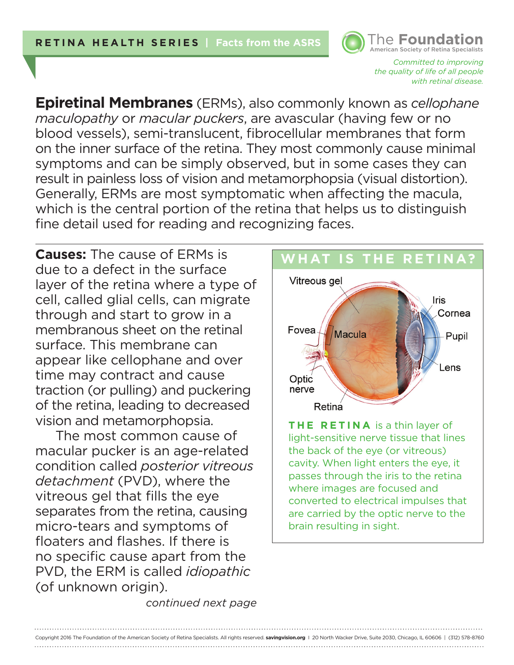

*Committed to improving the quality of life of all people with retinal disease.* 

**Epiretinal Membranes** (ERMs), also commonly known as *cellophane maculopathy* or *macular puckers*, are avascular (having few or no blood vessels), semi-translucent, fibrocellular membranes that form on the inner surface of the retina. They most commonly cause minimal symptoms and can be simply observed, but in some cases they can result in painless loss of vision and metamorphopsia (visual distortion). Generally, ERMs are most symptomatic when affecting the macula, which is the central portion of the retina that helps us to distinguish fine detail used for reading and recognizing faces.

**Causes:** The cause of ERMs is due to a defect in the surface layer of the retina where a type of cell, called glial cells, can migrate through and start to grow in a membranous sheet on the retinal surface. This membrane can appear like cellophane and over time may contract and cause traction (or pulling) and puckering of the retina, leading to decreased vision and metamorphopsia.

The most common cause of macular pucker is an age-related condition called *posterior vitreous detachment* (PVD), where the vitreous gel that fills the eye separates from the retina, causing micro-tears and symptoms of floaters and flashes. If there is no specific cause apart from the PVD, the ERM is called *idiopathic* (of unknown origin).



**THE RETINA** is a thin layer of light-sensitive nerve tissue that lines the back of the eye (or vitreous) cavity. When light enters the eye, it passes through the iris to the retina where images are focused and converted to electrical impulses that are carried by the optic nerve to the brain resulting in sight.

*continued next page*

Copyright 2016 The Foundation of the American Society of Retina Specialists. All rights reserved. **savingvision.org** I 20 North Wacker Drive, Suite 2030, Chicago, IL 60606 | (312) 578-8760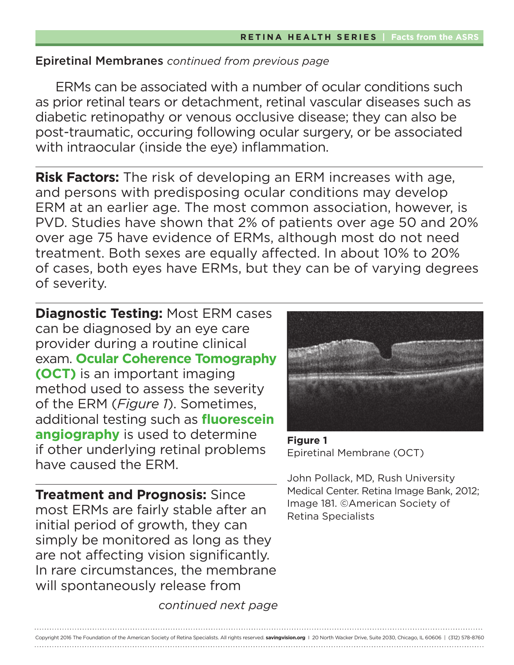ERMs can be associated with a number of ocular conditions such as prior retinal tears or detachment, retinal vascular diseases such as diabetic retinopathy or venous occlusive disease; they can also be post-traumatic, occuring following ocular surgery, or be associated with intraocular (inside the eye) inflammation.

**Risk Factors:** The risk of developing an ERM increases with age, and persons with predisposing ocular conditions may develop ERM at an earlier age. The most common association, however, is PVD. Studies have shown that 2% of patients over age 50 and 20% over age 75 have evidence of ERMs, although most do not need treatment. Both sexes are equally affected. In about 10% to 20% of cases, both eyes have ERMs, but they can be of varying degrees of severity.

**Diagnostic Testing:** Most ERM cases can be diagnosed by an eye care provider during a routine clinical exam. **Ocular Coherence Tomography (OCT)** is an important imaging method used to assess the severity of the ERM (*Figure 1*). Sometimes, additional testing such as **fluorescein angiography** is used to determine if other underlying retinal problems have caused the ERM.

**Treatment and Prognosis:** Since most ERMs are fairly stable after an initial period of growth, they can simply be monitored as long as they are not affecting vision significantly. In rare circumstances, the membrane will spontaneously release from



**Figure 1**  Epiretinal Membrane (OCT)

John Pollack, MD, Rush University Medical Center. Retina Image Bank, 2012; Image 181. ©American Society of Retina Specialists

*continued next page*

Copyright 2016 The Foundation of the American Society of Retina Specialists. All rights reserved. **savingvision.org** I 20 North Wacker Drive, Suite 2030, Chicago, IL 60606 | (312) 578-8760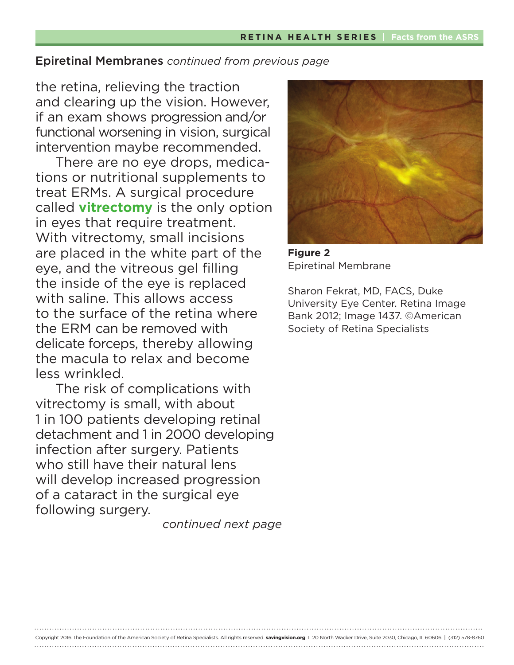the retina, relieving the traction and clearing up the vision. However, if an exam shows progression and/or functional worsening in vision, surgical intervention maybe recommended.

There are no eye drops, medications or nutritional supplements to treat ERMs. A surgical procedure called **vitrectomy** is the only option in eyes that require treatment. With vitrectomy, small incisions are placed in the white part of the eye, and the vitreous gel filling the inside of the eye is replaced with saline. This allows access to the surface of the retina where the ERM can be removed with delicate forceps, thereby allowing the macula to relax and become less wrinkled.

The risk of complications with vitrectomy is small, with about 1 in 100 patients developing retinal detachment and 1 in 2000 developing infection after surgery. Patients who still have their natural lens will develop increased progression of a cataract in the surgical eye following surgery.

*continued next page*

Copyright 2016 The Foundation of the American Society of Retina Specialists. All rights reserved. **savingvision.org** I 20 North Wacker Drive, Suite 2030, Chicago, IL 60606 | (312) 578-8760



**Figure 2**  Epiretinal Membrane

Sharon Fekrat, MD, FACS, Duke University Eye Center. Retina Image Bank 2012; Image 1437. ©American Society of Retina Specialists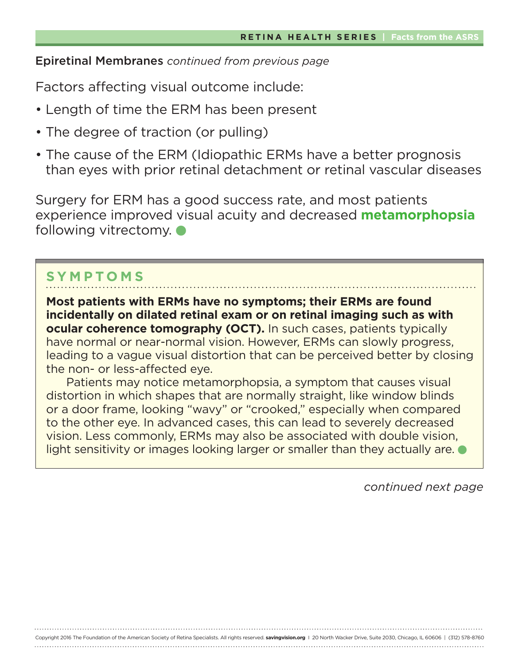Factors affecting visual outcome include:

- Length of time the ERM has been present
- The degree of traction (or pulling)
- The cause of the ERM (Idiopathic ERMs have a better prognosis than eyes with prior retinal detachment or retinal vascular diseases

Surgery for ERM has a good success rate, and most patients experience improved visual acuity and decreased **metamorphopsia** following vitrectomy.  $\bullet$ 

# **SYMPTOMS**

**Most patients with ERMs have no symptoms; their ERMs are found incidentally on dilated retinal exam or on retinal imaging such as with ocular coherence tomography (OCT).** In such cases, patients typically have normal or near-normal vision. However, ERMs can slowly progress, leading to a vague visual distortion that can be perceived better by closing the non- or less-affected eye.

Patients may notice metamorphopsia, a symptom that causes visual distortion in which shapes that are normally straight, like window blinds or a door frame, looking "wavy" or "crooked," especially when compared to the other eye. In advanced cases, this can lead to severely decreased vision. Less commonly, ERMs may also be associated with double vision, light sensitivity or images looking larger or smaller than they actually are.

Copyright 2016 The Foundation of the American Society of Retina Specialists. All rights reserved. **savingvision.org** I 20 North Wacker Drive, Suite 2030, Chicago, IL 60606 | (312) 578-8760

*continued next page*